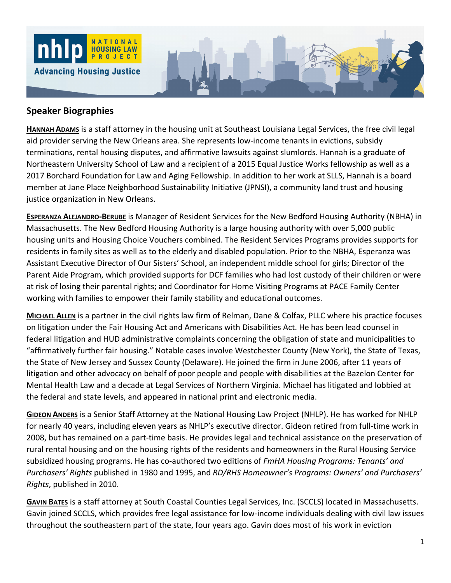

## **Speaker Biographies**

**HANNAH ADAMS** is a staff attorney in the housing unit at Southeast Louisiana Legal Services, the free civil legal aid provider serving the New Orleans area. She represents low-income tenants in evictions, subsidy terminations, rental housing disputes, and affirmative lawsuits against slumlords. Hannah is a graduate of Northeastern University School of Law and a recipient of a 2015 Equal Justice Works fellowship as well as a 2017 Borchard Foundation for Law and Aging Fellowship. In addition to her work at SLLS, Hannah is a board member at Jane Place Neighborhood Sustainability Initiative (JPNSI), a community land trust and housing justice organization in New Orleans.

**ESPERANZA ALEJANDRO‐BERUBE** is Manager of Resident Services for the New Bedford Housing Authority (NBHA) in Massachusetts. The New Bedford Housing Authority is a large housing authority with over 5,000 public housing units and Housing Choice Vouchers combined. The Resident Services Programs provides supports for residents in family sites as well as to the elderly and disabled population. Prior to the NBHA, Esperanza was Assistant Executive Director of Our Sisters' School, an independent middle school for girls; Director of the Parent Aide Program, which provided supports for DCF families who had lost custody of their children or were at risk of losing their parental rights; and Coordinator for Home Visiting Programs at PACE Family Center working with families to empower their family stability and educational outcomes.

**MICHAEL ALLEN** is a partner in the civil rights law firm of Relman, Dane & Colfax, PLLC where his practice focuses on litigation under the Fair Housing Act and Americans with Disabilities Act. He has been lead counsel in federal litigation and HUD administrative complaints concerning the obligation of state and municipalities to "affirmatively further fair housing." Notable cases involve Westchester County (New York), the State of Texas, the State of New Jersey and Sussex County (Delaware). He joined the firm in June 2006, after 11 years of litigation and other advocacy on behalf of poor people and people with disabilities at the Bazelon Center for Mental Health Law and a decade at Legal Services of Northern Virginia. Michael has litigated and lobbied at the federal and state levels, and appeared in national print and electronic media.

**GIDEON ANDERS** is a Senior Staff Attorney at the National Housing Law Project (NHLP). He has worked for NHLP for nearly 40 years, including eleven years as NHLP's executive director. Gideon retired from full‐time work in 2008, but has remained on a part‐time basis. He provides legal and technical assistance on the preservation of rural rental housing and on the housing rights of the residents and homeowners in the Rural Housing Service subsidized housing programs. He has co‐authored two editions of *FmHA Housing Programs: Tenants' and Purchasers' Rights* published in 1980 and 1995, and *RD/RHS Homeowner's Programs: Owners' and Purchasers' Rights*, published in 2010.

**GAVIN BATES** is a staff attorney at South Coastal Counties Legal Services, Inc. (SCCLS) located in Massachusetts. Gavin joined SCCLS, which provides free legal assistance for low‐income individuals dealing with civil law issues throughout the southeastern part of the state, four years ago. Gavin does most of his work in eviction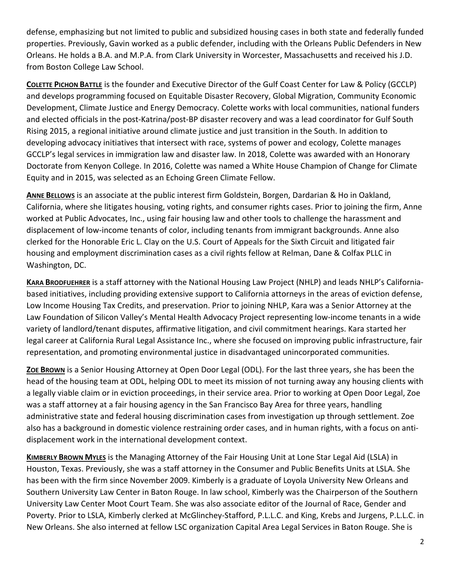defense, emphasizing but not limited to public and subsidized housing cases in both state and federally funded properties. Previously, Gavin worked as a public defender, including with the Orleans Public Defenders in New Orleans. He holds a B.A. and M.P.A. from Clark University in Worcester, Massachusetts and received his J.D. from Boston College Law School.

**COLETTE PICHON BATTLE** is the founder and Executive Director of the Gulf Coast Center for Law & Policy (GCCLP) and develops programming focused on Equitable Disaster Recovery, Global Migration, Community Economic Development, Climate Justice and Energy Democracy. Colette works with local communities, national funders and elected officials in the post-Katrina/post-BP disaster recovery and was a lead coordinator for Gulf South Rising 2015, a regional initiative around climate justice and just transition in the South. In addition to developing advocacy initiatives that intersect with race, systems of power and ecology, Colette manages GCCLP's legal services in immigration law and disaster law. In 2018, Colette was awarded with an Honorary Doctorate from Kenyon College. In 2016, Colette was named a White House Champion of Change for Climate Equity and in 2015, was selected as an Echoing Green Climate Fellow.

**ANNE BELLOWS** is an associate at the public interest firm Goldstein, Borgen, Dardarian & Ho in Oakland, California, where she litigates housing, voting rights, and consumer rights cases. Prior to joining the firm, Anne worked at Public Advocates, Inc., using fair housing law and other tools to challenge the harassment and displacement of low-income tenants of color, including tenants from immigrant backgrounds. Anne also clerked for the Honorable Eric L. Clay on the U.S. Court of Appeals for the Sixth Circuit and litigated fair housing and employment discrimination cases as a civil rights fellow at Relman, Dane & Colfax PLLC in Washington, DC.

**KARA BRODFUEHRER** is a staff attorney with the National Housing Law Project (NHLP) and leads NHLP's California‐ based initiatives, including providing extensive support to California attorneys in the areas of eviction defense, Low Income Housing Tax Credits, and preservation. Prior to joining NHLP, Kara was a Senior Attorney at the Law Foundation of Silicon Valley's Mental Health Advocacy Project representing low-income tenants in a wide variety of landlord/tenant disputes, affirmative litigation, and civil commitment hearings. Kara started her legal career at California Rural Legal Assistance Inc., where she focused on improving public infrastructure, fair representation, and promoting environmental justice in disadvantaged unincorporated communities.

**ZOE BROWN** is a Senior Housing Attorney at Open Door Legal (ODL). For the last three years, she has been the head of the housing team at ODL, helping ODL to meet its mission of not turning away any housing clients with a legally viable claim or in eviction proceedings, in their service area. Prior to working at Open Door Legal, Zoe was a staff attorney at a fair housing agency in the San Francisco Bay Area for three years, handling administrative state and federal housing discrimination cases from investigation up through settlement. Zoe also has a background in domestic violence restraining order cases, and in human rights, with a focus on anti‐ displacement work in the international development context.

**KIMBERLY BROWN MYLES** is the Managing Attorney of the Fair Housing Unit at Lone Star Legal Aid (LSLA) in Houston, Texas. Previously, she was a staff attorney in the Consumer and Public Benefits Units at LSLA. She has been with the firm since November 2009. Kimberly is a graduate of Loyola University New Orleans and Southern University Law Center in Baton Rouge. In law school, Kimberly was the Chairperson of the Southern University Law Center Moot Court Team. She was also associate editor of the Journal of Race, Gender and Poverty. Prior to LSLA, Kimberly clerked at McGlinchey‐Stafford, P.L.L.C. and King, Krebs and Jurgens, P.L.L.C. in New Orleans. She also interned at fellow LSC organization Capital Area Legal Services in Baton Rouge. She is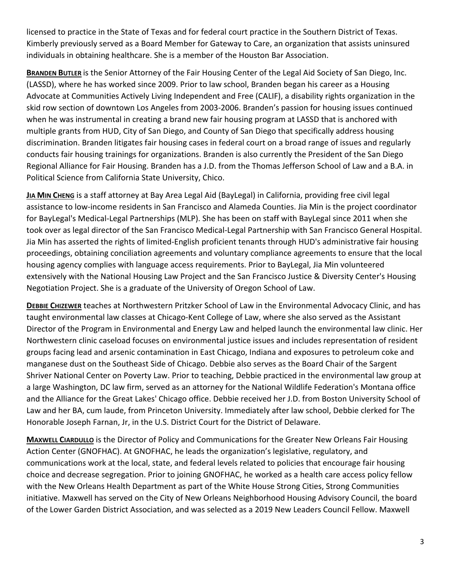licensed to practice in the State of Texas and for federal court practice in the Southern District of Texas. Kimberly previously served as a Board Member for Gateway to Care, an organization that assists uninsured individuals in obtaining healthcare. She is a member of the Houston Bar Association.

**BRANDEN BUTLER** is the Senior Attorney of the Fair Housing Center of the Legal Aid Society of San Diego, Inc. (LASSD), where he has worked since 2009. Prior to law school, Branden began his career as a Housing Advocate at Communities Actively Living Independent and Free (CALIF), a disability rights organization in the skid row section of downtown Los Angeles from 2003‐2006. Branden's passion for housing issues continued when he was instrumental in creating a brand new fair housing program at LASSD that is anchored with multiple grants from HUD, City of San Diego, and County of San Diego that specifically address housing discrimination. Branden litigates fair housing cases in federal court on a broad range of issues and regularly conducts fair housing trainings for organizations. Branden is also currently the President of the San Diego Regional Alliance for Fair Housing. Branden has a J.D. from the Thomas Jefferson School of Law and a B.A. in Political Science from California State University, Chico.

**JIA MIN CHENG** is a staff attorney at Bay Area Legal Aid (BayLegal) in California, providing free civil legal assistance to low‐income residents in San Francisco and Alameda Counties. Jia Min is the project coordinator for BayLegal's Medical‐Legal Partnerships (MLP). She has been on staff with BayLegal since 2011 when she took over as legal director of the San Francisco Medical‐Legal Partnership with San Francisco General Hospital. Jia Min has asserted the rights of limited‐English proficient tenants through HUD's administrative fair housing proceedings, obtaining conciliation agreements and voluntary compliance agreements to ensure that the local housing agency complies with language access requirements. Prior to BayLegal, Jia Min volunteered extensively with the National Housing Law Project and the San Francisco Justice & Diversity Center's Housing Negotiation Project. She is a graduate of the University of Oregon School of Law.

**DEBBIE CHIZEWER** teaches at Northwestern Pritzker School of Law in the Environmental Advocacy Clinic, and has taught environmental law classes at Chicago‐Kent College of Law, where she also served as the Assistant Director of the Program in Environmental and Energy Law and helped launch the environmental law clinic. Her Northwestern clinic caseload focuses on environmental justice issues and includes representation of resident groups facing lead and arsenic contamination in East Chicago, Indiana and exposures to petroleum coke and manganese dust on the Southeast Side of Chicago. Debbie also serves as the Board Chair of the Sargent Shriver National Center on Poverty Law. Prior to teaching, Debbie practiced in the environmental law group at a large Washington, DC law firm, served as an attorney for the National Wildlife Federation's Montana office and the Alliance for the Great Lakes' Chicago office. Debbie received her J.D. from Boston University School of Law and her BA, cum laude, from Princeton University. Immediately after law school, Debbie clerked for The Honorable Joseph Farnan, Jr, in the U.S. District Court for the District of Delaware.

**MAXWELL CIARDULLO** is the Director of Policy and Communications for the Greater New Orleans Fair Housing Action Center (GNOFHAC). At GNOFHAC, he leads the organization's legislative, regulatory, and communications work at the local, state, and federal levels related to policies that encourage fair housing choice and decrease segregation. Prior to joining GNOFHAC, he worked as a health care access policy fellow with the New Orleans Health Department as part of the White House Strong Cities, Strong Communities initiative. Maxwell has served on the City of New Orleans Neighborhood Housing Advisory Council, the board of the Lower Garden District Association, and was selected as a 2019 New Leaders Council Fellow. Maxwell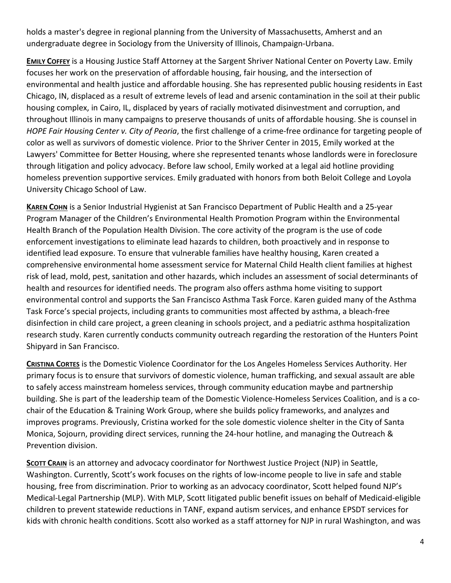holds a master's degree in regional planning from the University of Massachusetts, Amherst and an undergraduate degree in Sociology from the University of Illinois, Champaign‐Urbana.

**EMILY COFFEY** is a Housing Justice Staff Attorney at the Sargent Shriver National Center on Poverty Law. Emily focuses her work on the preservation of affordable housing, fair housing, and the intersection of environmental and health justice and affordable housing. She has represented public housing residents in East Chicago, IN, displaced as a result of extreme levels of lead and arsenic contamination in the soil at their public housing complex, in Cairo, IL, displaced by years of racially motivated disinvestment and corruption, and throughout Illinois in many campaigns to preserve thousands of units of affordable housing. She is counsel in *HOPE Fair Housing Center v. City of Peoria*, the first challenge of a crime‐free ordinance for targeting people of color as well as survivors of domestic violence. Prior to the Shriver Center in 2015, Emily worked at the Lawyers' Committee for Better Housing, where she represented tenants whose landlords were in foreclosure through litigation and policy advocacy. Before law school, Emily worked at a legal aid hotline providing homeless prevention supportive services. Emily graduated with honors from both Beloit College and Loyola University Chicago School of Law.

**KAREN COHN** is a Senior Industrial Hygienist at San Francisco Department of Public Health and a 25‐year Program Manager of the Children's Environmental Health Promotion Program within the Environmental Health Branch of the Population Health Division. The core activity of the program is the use of code enforcement investigations to eliminate lead hazards to children, both proactively and in response to identified lead exposure. To ensure that vulnerable families have healthy housing, Karen created a comprehensive environmental home assessment service for Maternal Child Health client families at highest risk of lead, mold, pest, sanitation and other hazards, which includes an assessment of social determinants of health and resources for identified needs. The program also offers asthma home visiting to support environmental control and supports the San Francisco Asthma Task Force. Karen guided many of the Asthma Task Force's special projects, including grants to communities most affected by asthma, a bleach‐free disinfection in child care project, a green cleaning in schools project, and a pediatric asthma hospitalization research study. Karen currently conducts community outreach regarding the restoration of the Hunters Point Shipyard in San Francisco.

**CRISTINA CORTES** is the Domestic Violence Coordinator for the Los Angeles Homeless Services Authority. Her primary focus is to ensure that survivors of domestic violence, human trafficking, and sexual assault are able to safely access mainstream homeless services, through community education maybe and partnership building. She is part of the leadership team of the Domestic Violence‐Homeless Services Coalition, and is a co‐ chair of the Education & Training Work Group, where she builds policy frameworks, and analyzes and improves programs. Previously, Cristina worked for the sole domestic violence shelter in the City of Santa Monica, Sojourn, providing direct services, running the 24‐hour hotline, and managing the Outreach & Prevention division.

**SCOTT CRAIN** is an attorney and advocacy coordinator for Northwest Justice Project (NJP) in Seattle, Washington. Currently, Scott's work focuses on the rights of low-income people to live in safe and stable housing, free from discrimination. Prior to working as an advocacy coordinator, Scott helped found NJP's Medical‐Legal Partnership (MLP). With MLP, Scott litigated public benefit issues on behalf of Medicaid‐eligible children to prevent statewide reductions in TANF, expand autism services, and enhance EPSDT services for kids with chronic health conditions. Scott also worked as a staff attorney for NJP in rural Washington, and was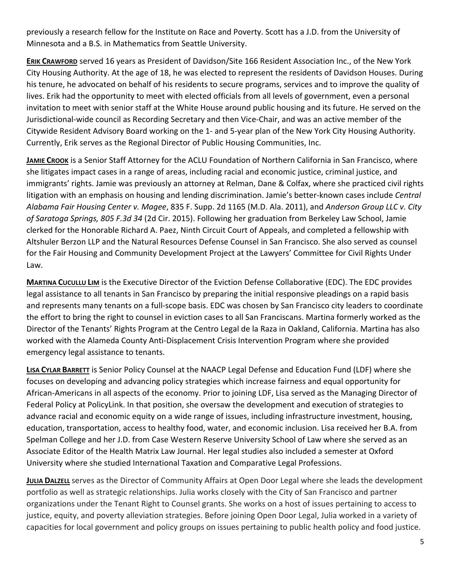previously a research fellow for the Institute on Race and Poverty. Scott has a J.D. from the University of Minnesota and a B.S. in Mathematics from Seattle University.

**ERIK CRAWFORD** served 16 years as President of Davidson/Site 166 Resident Association Inc., of the New York City Housing Authority. At the age of 18, he was elected to represent the residents of Davidson Houses. During his tenure, he advocated on behalf of his residents to secure programs, services and to improve the quality of lives. Erik had the opportunity to meet with elected officials from all levels of government, even a personal invitation to meet with senior staff at the White House around public housing and its future. He served on the Jurisdictional‐wide council as Recording Secretary and then Vice‐Chair, and was an active member of the Citywide Resident Advisory Board working on the 1‐ and 5‐year plan of the New York City Housing Authority. Currently, Erik serves as the Regional Director of Public Housing Communities, Inc.

**JAMIE CROOK** is a Senior Staff Attorney for the ACLU Foundation of Northern California in San Francisco, where she litigates impact cases in a range of areas, including racial and economic justice, criminal justice, and immigrants' rights. Jamie was previously an attorney at Relman, Dane & Colfax, where she practiced civil rights litigation with an emphasis on housing and lending discrimination. Jamie's better‐known cases include *Central Alabama Fair Housing Center v. Magee*, 835 F. Supp. 2d 1165 (M.D. Ala. 2011), and *Anderson Group LLC v. City of Saratoga Springs, 805 F.3d 34* (2d Cir. 2015). Following her graduation from Berkeley Law School, Jamie clerked for the Honorable Richard A. Paez, Ninth Circuit Court of Appeals, and completed a fellowship with Altshuler Berzon LLP and the Natural Resources Defense Counsel in San Francisco. She also served as counsel for the Fair Housing and Community Development Project at the Lawyers' Committee for Civil Rights Under Law.

**MARTINA CUCULLU LIM** is the Executive Director of the Eviction Defense Collaborative (EDC). The EDC provides legal assistance to all tenants in San Francisco by preparing the initial responsive pleadings on a rapid basis and represents many tenants on a full‐scope basis. EDC was chosen by San Francisco city leaders to coordinate the effort to bring the right to counsel in eviction cases to all San Franciscans. Martina formerly worked as the Director of the Tenants' Rights Program at the Centro Legal de la Raza in Oakland, California. Martina has also worked with the Alameda County Anti‐Displacement Crisis Intervention Program where she provided emergency legal assistance to tenants.

**LISA CYLAR BARRETT** is Senior Policy Counsel at the NAACP Legal Defense and Education Fund (LDF) where she focuses on developing and advancing policy strategies which increase fairness and equal opportunity for African‐Americans in all aspects of the economy. Prior to joining LDF, Lisa served as the Managing Director of Federal Policy at PolicyLink. In that position, she oversaw the development and execution of strategies to advance racial and economic equity on a wide range of issues, including infrastructure investment, housing, education, transportation, access to healthy food, water, and economic inclusion. Lisa received her B.A. from Spelman College and her J.D. from Case Western Reserve University School of Law where she served as an Associate Editor of the Health Matrix Law Journal. Her legal studies also included a semester at Oxford University where she studied International Taxation and Comparative Legal Professions.

**JULIA DALZELL** serves as the Director of Community Affairs at Open Door Legal where she leads the development portfolio as well as strategic relationships. Julia works closely with the City of San Francisco and partner organizations under the Tenant Right to Counsel grants. She works on a host of issues pertaining to access to justice, equity, and poverty alleviation strategies. Before joining Open Door Legal, Julia worked in a variety of capacities for local government and policy groups on issues pertaining to public health policy and food justice.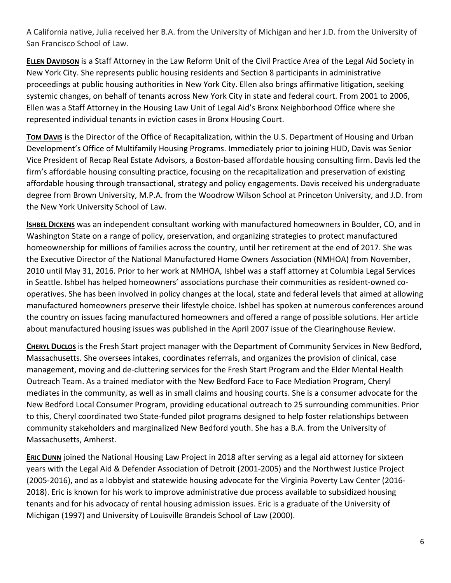A California native, Julia received her B.A. from the University of Michigan and her J.D. from the University of San Francisco School of Law.

**ELLEN DAVIDSON** is a Staff Attorney in the Law Reform Unit of the Civil Practice Area of the Legal Aid Society in New York City. She represents public housing residents and Section 8 participants in administrative proceedings at public housing authorities in New York City. Ellen also brings affirmative litigation, seeking systemic changes, on behalf of tenants across New York City in state and federal court. From 2001 to 2006, Ellen was a Staff Attorney in the Housing Law Unit of Legal Aid's Bronx Neighborhood Office where she represented individual tenants in eviction cases in Bronx Housing Court.

**TOM DAVIS** is the Director of the Office of Recapitalization, within the U.S. Department of Housing and Urban Development's Office of Multifamily Housing Programs. Immediately prior to joining HUD, Davis was Senior Vice President of Recap Real Estate Advisors, a Boston‐based affordable housing consulting firm. Davis led the firm's affordable housing consulting practice, focusing on the recapitalization and preservation of existing affordable housing through transactional, strategy and policy engagements. Davis received his undergraduate degree from Brown University, M.P.A. from the Woodrow Wilson School at Princeton University, and J.D. from the New York University School of Law.

**ISHBEL DICKENS** was an independent consultant working with manufactured homeowners in Boulder, CO, and in Washington State on a range of policy, preservation, and organizing strategies to protect manufactured homeownership for millions of families across the country, until her retirement at the end of 2017. She was the Executive Director of the National Manufactured Home Owners Association (NMHOA) from November, 2010 until May 31, 2016. Prior to her work at NMHOA, Ishbel was a staff attorney at Columbia Legal Services in Seattle. Ishbel has helped homeowners' associations purchase their communities as resident‐owned co‐ operatives. She has been involved in policy changes at the local, state and federal levels that aimed at allowing manufactured homeowners preserve their lifestyle choice. Ishbel has spoken at numerous conferences around the country on issues facing manufactured homeowners and offered a range of possible solutions. Her article about manufactured housing issues was published in the April 2007 issue of the Clearinghouse Review.

**CHERYL DUCLOS** is the Fresh Start project manager with the Department of Community Services in New Bedford, Massachusetts. She oversees intakes, coordinates referrals, and organizes the provision of clinical, case management, moving and de‐cluttering services for the Fresh Start Program and the Elder Mental Health Outreach Team. As a trained mediator with the New Bedford Face to Face Mediation Program, Cheryl mediates in the community, as well as in small claims and housing courts. She is a consumer advocate for the New Bedford Local Consumer Program, providing educational outreach to 25 surrounding communities. Prior to this, Cheryl coordinated two State‐funded pilot programs designed to help foster relationships between community stakeholders and marginalized New Bedford youth. She has a B.A. from the University of Massachusetts, Amherst.

**ERIC DUNN** joined the National Housing Law Project in 2018 after serving as a legal aid attorney for sixteen years with the Legal Aid & Defender Association of Detroit (2001‐2005) and the Northwest Justice Project (2005‐2016), and as a lobbyist and statewide housing advocate for the Virginia Poverty Law Center (2016‐ 2018). Eric is known for his work to improve administrative due process available to subsidized housing tenants and for his advocacy of rental housing admission issues. Eric is a graduate of the University of Michigan (1997) and University of Louisville Brandeis School of Law (2000).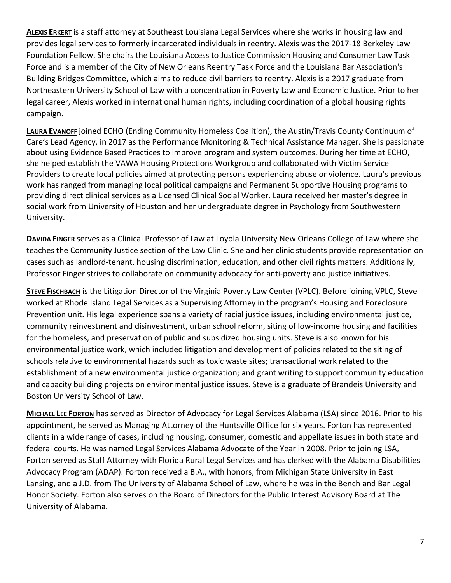**ALEXIS ERKERT** is a staff attorney at Southeast Louisiana Legal Services where she works in housing law and provides legal services to formerly incarcerated individuals in reentry. Alexis was the 2017‐18 Berkeley Law Foundation Fellow. She chairs the Louisiana Access to Justice Commission Housing and Consumer Law Task Force and is a member of the City of New Orleans Reentry Task Force and the Louisiana Bar Association's Building Bridges Committee, which aims to reduce civil barriers to reentry. Alexis is a 2017 graduate from Northeastern University School of Law with a concentration in Poverty Law and Economic Justice. Prior to her legal career, Alexis worked in international human rights, including coordination of a global housing rights campaign.

**LAURA EVANOFF** joined ECHO (Ending Community Homeless Coalition), the Austin/Travis County Continuum of Care's Lead Agency, in 2017 as the Performance Monitoring & Technical Assistance Manager. She is passionate about using Evidence Based Practices to improve program and system outcomes. During her time at ECHO, she helped establish the VAWA Housing Protections Workgroup and collaborated with Victim Service Providers to create local policies aimed at protecting persons experiencing abuse or violence. Laura's previous work has ranged from managing local political campaigns and Permanent Supportive Housing programs to providing direct clinical services as a Licensed Clinical Social Worker. Laura received her master's degree in social work from University of Houston and her undergraduate degree in Psychology from Southwestern University.

**DAVIDA FINGER** serves as a Clinical Professor of Law at Loyola University New Orleans College of Law where she teaches the Community Justice section of the Law Clinic. She and her clinic students provide representation on cases such as landlord‐tenant, housing discrimination, education, and other civil rights matters. Additionally, Professor Finger strives to collaborate on community advocacy for anti‐poverty and justice initiatives.

**STEVE FISCHBACH** is the Litigation Director of the Virginia Poverty Law Center (VPLC). Before joining VPLC, Steve worked at Rhode Island Legal Services as a Supervising Attorney in the program's Housing and Foreclosure Prevention unit. His legal experience spans a variety of racial justice issues, including environmental justice, community reinvestment and disinvestment, urban school reform, siting of low‐income housing and facilities for the homeless, and preservation of public and subsidized housing units. Steve is also known for his environmental justice work, which included litigation and development of policies related to the siting of schools relative to environmental hazards such as toxic waste sites; transactional work related to the establishment of a new environmental justice organization; and grant writing to support community education and capacity building projects on environmental justice issues. Steve is a graduate of Brandeis University and Boston University School of Law.

**MICHAEL LEE FORTON** has served as Director of Advocacy for Legal Services Alabama (LSA) since 2016. Prior to his appointment, he served as Managing Attorney of the Huntsville Office for six years. Forton has represented clients in a wide range of cases, including housing, consumer, domestic and appellate issues in both state and federal courts. He was named Legal Services Alabama Advocate of the Year in 2008. Prior to joining LSA, Forton served as Staff Attorney with Florida Rural Legal Services and has clerked with the Alabama Disabilities Advocacy Program (ADAP). Forton received a B.A., with honors, from Michigan State University in East Lansing, and a J.D. from The University of Alabama School of Law, where he was in the Bench and Bar Legal Honor Society. Forton also serves on the Board of Directors for the Public Interest Advisory Board at The University of Alabama.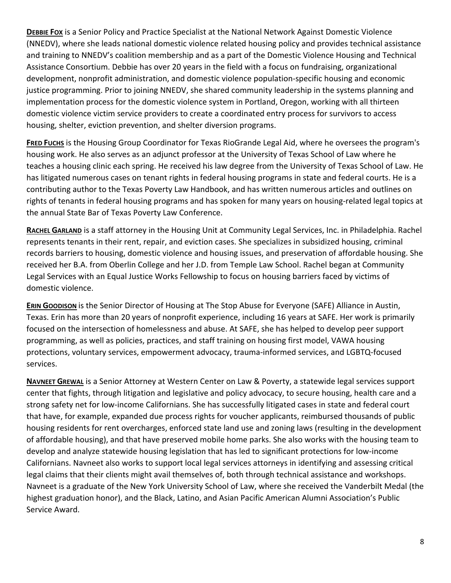**DEBBIE FOX** is a Senior Policy and Practice Specialist at the National Network Against Domestic Violence (NNEDV), where she leads national domestic violence related housing policy and provides technical assistance and training to NNEDV's coalition membership and as a part of the Domestic Violence Housing and Technical Assistance Consortium. Debbie has over 20 years in the field with a focus on fundraising, organizational development, nonprofit administration, and domestic violence population‐specific housing and economic justice programming. Prior to joining NNEDV, she shared community leadership in the systems planning and implementation process for the domestic violence system in Portland, Oregon, working with all thirteen domestic violence victim service providers to create a coordinated entry process for survivors to access housing, shelter, eviction prevention, and shelter diversion programs.

**FRED FUCHS** is the Housing Group Coordinator for Texas RioGrande Legal Aid, where he oversees the program's housing work. He also serves as an adjunct professor at the University of Texas School of Law where he teaches a housing clinic each spring. He received his law degree from the University of Texas School of Law. He has litigated numerous cases on tenant rights in federal housing programs in state and federal courts. He is a contributing author to the Texas Poverty Law Handbook, and has written numerous articles and outlines on rights of tenants in federal housing programs and has spoken for many years on housing‐related legal topics at the annual State Bar of Texas Poverty Law Conference.

RACHEL GARLAND is a staff attorney in the Housing Unit at Community Legal Services, Inc. in Philadelphia. Rachel represents tenants in their rent, repair, and eviction cases. She specializes in subsidized housing, criminal records barriers to housing, domestic violence and housing issues, and preservation of affordable housing. She received her B.A. from Oberlin College and her J.D. from Temple Law School. Rachel began at Community Legal Services with an Equal Justice Works Fellowship to focus on housing barriers faced by victims of domestic violence.

**ERIN GOODISON** is the Senior Director of Housing at The Stop Abuse for Everyone (SAFE) Alliance in Austin, Texas. Erin has more than 20 years of nonprofit experience, including 16 years at SAFE. Her work is primarily focused on the intersection of homelessness and abuse. At SAFE, she has helped to develop peer support programming, as well as policies, practices, and staff training on housing first model, VAWA housing protections, voluntary services, empowerment advocacy, trauma‐informed services, and LGBTQ‐focused services.

**NAVNEET GREWAL** is a Senior Attorney at Western Center on Law & Poverty, a statewide legal services support center that fights, through litigation and legislative and policy advocacy, to secure housing, health care and a strong safety net for low‐income Californians. She has successfully litigated cases in state and federal court that have, for example, expanded due process rights for voucher applicants, reimbursed thousands of public housing residents for rent overcharges, enforced state land use and zoning laws (resulting in the development of affordable housing), and that have preserved mobile home parks. She also works with the housing team to develop and analyze statewide housing legislation that has led to significant protections for low‐income Californians. Navneet also works to support local legal services attorneys in identifying and assessing critical legal claims that their clients might avail themselves of, both through technical assistance and workshops. Navneet is a graduate of the New York University School of Law, where she received the Vanderbilt Medal (the highest graduation honor), and the Black, Latino, and Asian Pacific American Alumni Association's Public Service Award.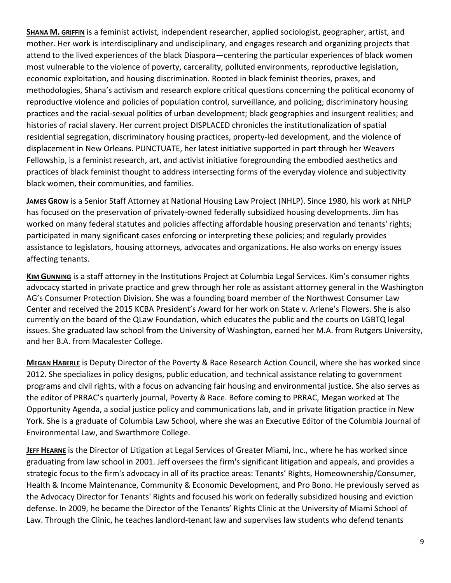**SHANA M. GRIFFIN** is a feminist activist, independent researcher, applied sociologist, geographer, artist, and mother. Her work is interdisciplinary and undisciplinary, and engages research and organizing projects that attend to the lived experiences of the black Diaspora—centering the particular experiences of black women most vulnerable to the violence of poverty, carcerality, polluted environments, reproductive legislation, economic exploitation, and housing discrimination. Rooted in black feminist theories, praxes, and methodologies, Shana's activism and research explore critical questions concerning the political economy of reproductive violence and policies of population control, surveillance, and policing; discriminatory housing practices and the racial‐sexual politics of urban development; black geographies and insurgent realities; and histories of racial slavery. Her current project DISPLACED chronicles the institutionalization of spatial residential segregation, discriminatory housing practices, property-led development, and the violence of displacement in New Orleans. PUNCTUATE, her latest initiative supported in part through her Weavers Fellowship, is a feminist research, art, and activist initiative foregrounding the embodied aesthetics and practices of black feminist thought to address intersecting forms of the everyday violence and subjectivity black women, their communities, and families.

**JAMES GROW** is a Senior Staff Attorney at National Housing Law Project (NHLP). Since 1980, his work at NHLP has focused on the preservation of privately-owned federally subsidized housing developments. Jim has worked on many federal statutes and policies affecting affordable housing preservation and tenants' rights; participated in many significant cases enforcing or interpreting these policies; and regularly provides assistance to legislators, housing attorneys, advocates and organizations. He also works on energy issues affecting tenants.

**KIM GUNNING** is a staff attorney in the Institutions Project at Columbia Legal Services. Kim's consumer rights advocacy started in private practice and grew through her role as assistant attorney general in the Washington AG's Consumer Protection Division. She was a founding board member of the Northwest Consumer Law Center and received the 2015 KCBA President's Award for her work on State v. Arlene's Flowers. She is also currently on the board of the QLaw Foundation, which educates the public and the courts on LGBTQ legal issues. She graduated law school from the University of Washington, earned her M.A. from Rutgers University, and her B.A. from Macalester College.

**MEGAN HABERLE** is Deputy Director of the Poverty & Race Research Action Council, where she has worked since 2012. She specializes in policy designs, public education, and technical assistance relating to government programs and civil rights, with a focus on advancing fair housing and environmental justice. She also serves as the editor of PRRAC's quarterly journal, Poverty & Race. Before coming to PRRAC, Megan worked at The Opportunity Agenda, a social justice policy and communications lab, and in private litigation practice in New York. She is a graduate of Columbia Law School, where she was an Executive Editor of the Columbia Journal of Environmental Law, and Swarthmore College.

**JEFF HEARNE** is the Director of Litigation at Legal Services of Greater Miami, Inc., where he has worked since graduating from law school in 2001. Jeff oversees the firm's significant litigation and appeals, and provides a strategic focus to the firm's advocacy in all of its practice areas: Tenants' Rights, Homeownership/Consumer, Health & Income Maintenance, Community & Economic Development, and Pro Bono. He previously served as the Advocacy Director for Tenants' Rights and focused his work on federally subsidized housing and eviction defense. In 2009, he became the Director of the Tenants' Rights Clinic at the University of Miami School of Law. Through the Clinic, he teaches landlord‐tenant law and supervises law students who defend tenants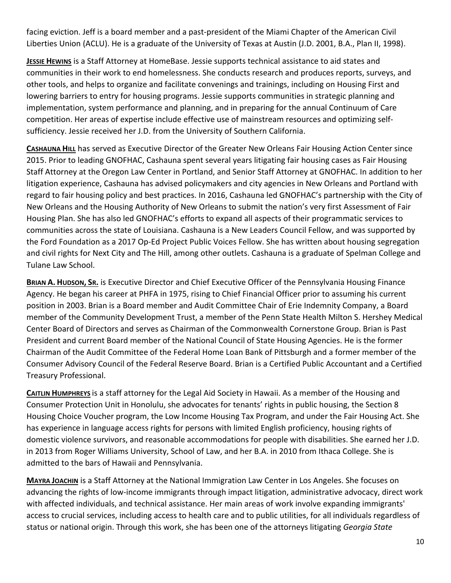facing eviction. Jeff is a board member and a past‐president of the Miami Chapter of the American Civil Liberties Union (ACLU). He is a graduate of the University of Texas at Austin (J.D. 2001, B.A., Plan II, 1998).

**JESSIE HEWINS** is a Staff Attorney at HomeBase. Jessie supports technical assistance to aid states and communities in their work to end homelessness. She conducts research and produces reports, surveys, and other tools, and helps to organize and facilitate convenings and trainings, including on Housing First and lowering barriers to entry for housing programs. Jessie supports communities in strategic planning and implementation, system performance and planning, and in preparing for the annual Continuum of Care competition. Her areas of expertise include effective use of mainstream resources and optimizing self‐ sufficiency. Jessie received her J.D. from the University of Southern California.

**CASHAUNA HILL** has served as Executive Director of the Greater New Orleans Fair Housing Action Center since 2015. Prior to leading GNOFHAC, Cashauna spent several years litigating fair housing cases as Fair Housing Staff Attorney at the Oregon Law Center in Portland, and Senior Staff Attorney at GNOFHAC. In addition to her litigation experience, Cashauna has advised policymakers and city agencies in New Orleans and Portland with regard to fair housing policy and best practices. In 2016, Cashauna led GNOFHAC's partnership with the City of New Orleans and the Housing Authority of New Orleans to submit the nation's very first Assessment of Fair Housing Plan. She has also led GNOFHAC's efforts to expand all aspects of their programmatic services to communities across the state of Louisiana. Cashauna is a New Leaders Council Fellow, and was supported by the Ford Foundation as a 2017 Op‐Ed Project Public Voices Fellow. She has written about housing segregation and civil rights for Next City and The Hill, among other outlets. Cashauna is a graduate of Spelman College and Tulane Law School.

**BRIAN A. HUDSON, SR.** is Executive Director and Chief Executive Officer of the Pennsylvania Housing Finance Agency. He began his career at PHFA in 1975, rising to Chief Financial Officer prior to assuming his current position in 2003. Brian is a Board member and Audit Committee Chair of Erie Indemnity Company, a Board member of the Community Development Trust, a member of the Penn State Health Milton S. Hershey Medical Center Board of Directors and serves as Chairman of the Commonwealth Cornerstone Group. Brian is Past President and current Board member of the National Council of State Housing Agencies. He is the former Chairman of the Audit Committee of the Federal Home Loan Bank of Pittsburgh and a former member of the Consumer Advisory Council of the Federal Reserve Board. Brian is a Certified Public Accountant and a Certified Treasury Professional.

**CAITLIN HUMPHREYS** is a staff attorney for the Legal Aid Society in Hawaii. As a member of the Housing and Consumer Protection Unit in Honolulu, she advocates for tenants' rights in public housing, the Section 8 Housing Choice Voucher program, the Low Income Housing Tax Program, and under the Fair Housing Act. She has experience in language access rights for persons with limited English proficiency, housing rights of domestic violence survivors, and reasonable accommodations for people with disabilities. She earned her J.D. in 2013 from Roger Williams University, School of Law, and her B.A. in 2010 from Ithaca College. She is admitted to the bars of Hawaii and Pennsylvania.

**MAYRA JOACHIN** is a Staff Attorney at the National Immigration Law Center in Los Angeles. She focuses on advancing the rights of low‐income immigrants through impact litigation, administrative advocacy, direct work with affected individuals, and technical assistance. Her main areas of work involve expanding immigrants' access to crucial services, including access to health care and to public utilities, for all individuals regardless of status or national origin. Through this work, she has been one of the attorneys litigating *Georgia State*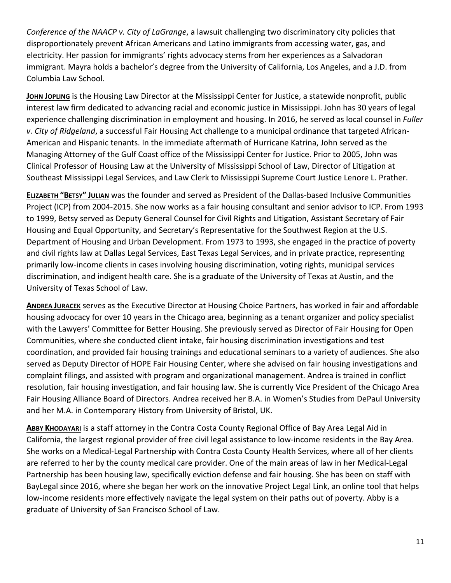*Conference of the NAACP v. City of LaGrange*, a lawsuit challenging two discriminatory city policies that disproportionately prevent African Americans and Latino immigrants from accessing water, gas, and electricity. Her passion for immigrants' rights advocacy stems from her experiences as a Salvadoran immigrant. Mayra holds a bachelor's degree from the University of California, Los Angeles, and a J.D. from Columbia Law School.

**JOHN JOPLING** is the Housing Law Director at the Mississippi Center for Justice, a statewide nonprofit, public interest law firm dedicated to advancing racial and economic justice in Mississippi. John has 30 years of legal experience challenging discrimination in employment and housing. In 2016, he served as local counsel in *Fuller v. City of Ridgeland*, a successful Fair Housing Act challenge to a municipal ordinance that targeted African‐ American and Hispanic tenants. In the immediate aftermath of Hurricane Katrina, John served as the Managing Attorney of the Gulf Coast office of the Mississippi Center for Justice. Prior to 2005, John was Clinical Professor of Housing Law at the University of Mississippi School of Law, Director of Litigation at Southeast Mississippi Legal Services, and Law Clerk to Mississippi Supreme Court Justice Lenore L. Prather.

**ELIZABETH "BETSY" JULIAN** was the founder and served as President of the Dallas‐based Inclusive Communities Project (ICP) from 2004‐2015. She now works as a fair housing consultant and senior advisor to ICP. From 1993 to 1999, Betsy served as Deputy General Counsel for Civil Rights and Litigation, Assistant Secretary of Fair Housing and Equal Opportunity, and Secretary's Representative for the Southwest Region at the U.S. Department of Housing and Urban Development. From 1973 to 1993, she engaged in the practice of poverty and civil rights law at Dallas Legal Services, East Texas Legal Services, and in private practice, representing primarily low‐income clients in cases involving housing discrimination, voting rights, municipal services discrimination, and indigent health care. She is a graduate of the University of Texas at Austin, and the University of Texas School of Law.

**ANDREA JURACEK** serves as the Executive Director at Housing Choice Partners, has worked in fair and affordable housing advocacy for over 10 years in the Chicago area, beginning as a tenant organizer and policy specialist with the Lawyers' Committee for Better Housing. She previously served as Director of Fair Housing for Open Communities, where she conducted client intake, fair housing discrimination investigations and test coordination, and provided fair housing trainings and educational seminars to a variety of audiences. She also served as Deputy Director of HOPE Fair Housing Center, where she advised on fair housing investigations and complaint filings, and assisted with program and organizational management. Andrea is trained in conflict resolution, fair housing investigation, and fair housing law. She is currently Vice President of the Chicago Area Fair Housing Alliance Board of Directors. Andrea received her B.A. in Women's Studies from DePaul University and her M.A. in Contemporary History from University of Bristol, UK.

**ABBY KHODAYARI** is a staff attorney in the Contra Costa County Regional Office of Bay Area Legal Aid in California, the largest regional provider of free civil legal assistance to low‐income residents in the Bay Area. She works on a Medical‐Legal Partnership with Contra Costa County Health Services, where all of her clients are referred to her by the county medical care provider. One of the main areas of law in her Medical‐Legal Partnership has been housing law, specifically eviction defense and fair housing. She has been on staff with BayLegal since 2016, where she began her work on the innovative Project Legal Link, an online tool that helps low-income residents more effectively navigate the legal system on their paths out of poverty. Abby is a graduate of University of San Francisco School of Law.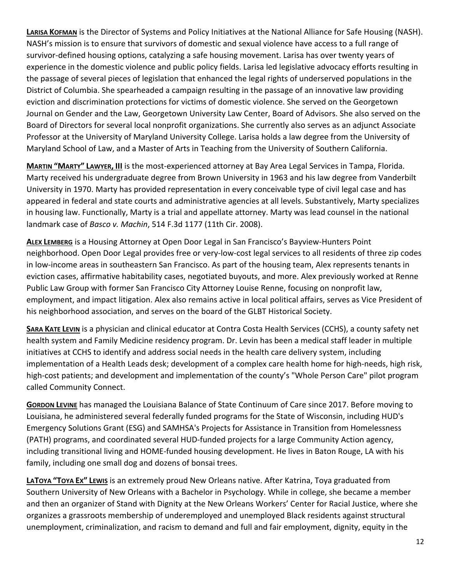**LARISA KOFMAN** is the Director of Systems and Policy Initiatives at the National Alliance for Safe Housing (NASH). NASH's mission is to ensure that survivors of domestic and sexual violence have access to a full range of survivor-defined housing options, catalyzing a safe housing movement. Larisa has over twenty years of experience in the domestic violence and public policy fields. Larisa led legislative advocacy efforts resulting in the passage of several pieces of legislation that enhanced the legal rights of underserved populations in the District of Columbia. She spearheaded a campaign resulting in the passage of an innovative law providing eviction and discrimination protections for victims of domestic violence. She served on the Georgetown Journal on Gender and the Law, Georgetown University Law Center, Board of Advisors. She also served on the Board of Directors for several local nonprofit organizations. She currently also serves as an adjunct Associate Professor at the University of Maryland University College. Larisa holds a law degree from the University of Maryland School of Law, and a Master of Arts in Teaching from the University of Southern California.

**MARTIN "MARTY" LAWYER, III** is the most‐experienced attorney at Bay Area Legal Services in Tampa, Florida. Marty received his undergraduate degree from Brown University in 1963 and his law degree from Vanderbilt University in 1970. Marty has provided representation in every conceivable type of civil legal case and has appeared in federal and state courts and administrative agencies at all levels. Substantively, Marty specializes in housing law. Functionally, Marty is a trial and appellate attorney. Marty was lead counsel in the national landmark case of *Basco v. Machin*, 514 F.3d 1177 (11th Cir. 2008).

**ALEX LEMBERG** is a Housing Attorney at Open Door Legal in San Francisco's Bayview‐Hunters Point neighborhood. Open Door Legal provides free or very‐low‐cost legal services to all residents of three zip codes in low-income areas in southeastern San Francisco. As part of the housing team, Alex represents tenants in eviction cases, affirmative habitability cases, negotiated buyouts, and more. Alex previously worked at Renne Public Law Group with former San Francisco City Attorney Louise Renne, focusing on nonprofit law, employment, and impact litigation. Alex also remains active in local political affairs, serves as Vice President of his neighborhood association, and serves on the board of the GLBT Historical Society.

**SARA KATE LEVIN** is a physician and clinical educator at Contra Costa Health Services (CCHS), a county safety net health system and Family Medicine residency program. Dr. Levin has been a medical staff leader in multiple initiatives at CCHS to identify and address social needs in the health care delivery system, including implementation of a Health Leads desk; development of a complex care health home for high‐needs, high risk, high-cost patients; and development and implementation of the county's "Whole Person Care" pilot program called Community Connect.

**GORDON LEVINE** has managed the Louisiana Balance of State Continuum of Care since 2017. Before moving to Louisiana, he administered several federally funded programs for the State of Wisconsin, including HUD's Emergency Solutions Grant (ESG) and SAMHSA's Projects for Assistance in Transition from Homelessness (PATH) programs, and coordinated several HUD‐funded projects for a large Community Action agency, including transitional living and HOME‐funded housing development. He lives in Baton Rouge, LA with his family, including one small dog and dozens of bonsai trees.

**LATOYA "TOYA EX" LEWIS** is an extremely proud New Orleans native. After Katrina, Toya graduated from Southern University of New Orleans with a Bachelor in Psychology. While in college, she became a member and then an organizer of Stand with Dignity at the New Orleans Workers' Center for Racial Justice, where she organizes a grassroots membership of underemployed and unemployed Black residents against structural unemployment, criminalization, and racism to demand and full and fair employment, dignity, equity in the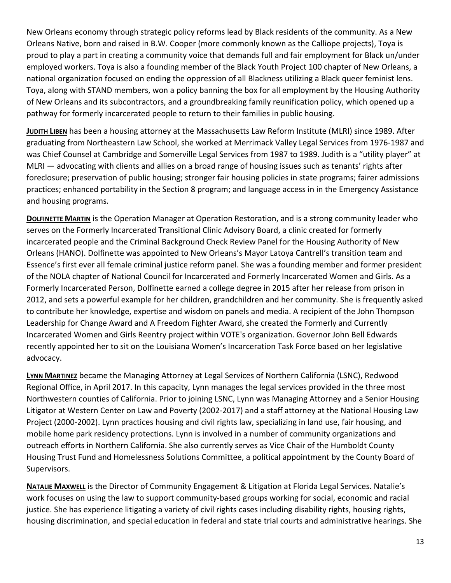New Orleans economy through strategic policy reforms lead by Black residents of the community. As a New Orleans Native, born and raised in B.W. Cooper (more commonly known as the Calliope projects), Toya is proud to play a part in creating a community voice that demands full and fair employment for Black un/under employed workers. Toya is also a founding member of the Black Youth Project 100 chapter of New Orleans, a national organization focused on ending the oppression of all Blackness utilizing a Black queer feminist lens. Toya, along with STAND members, won a policy banning the box for all employment by the Housing Authority of New Orleans and its subcontractors, and a groundbreaking family reunification policy, which opened up a pathway for formerly incarcerated people to return to their families in public housing.

**JUDITH LIBEN** has been a housing attorney at the Massachusetts Law Reform Institute (MLRI) since 1989. After graduating from Northeastern Law School, she worked at Merrimack Valley Legal Services from 1976‐1987 and was Chief Counsel at Cambridge and Somerville Legal Services from 1987 to 1989. Judith is a "utility player" at MLRI — advocating with clients and allies on a broad range of housing issues such as tenants' rights after foreclosure; preservation of public housing; stronger fair housing policies in state programs; fairer admissions practices; enhanced portability in the Section 8 program; and language access in in the Emergency Assistance and housing programs.

**DOLFINETTE MARTIN** is the Operation Manager at Operation Restoration, and is a strong community leader who serves on the Formerly Incarcerated Transitional Clinic Advisory Board, a clinic created for formerly incarcerated people and the Criminal Background Check Review Panel for the Housing Authority of New Orleans (HANO). Dolfinette was appointed to New Orleans's Mayor Latoya Cantrell's transition team and Essence's first ever all female criminal justice reform panel. She was a founding member and former president of the NOLA chapter of National Council for Incarcerated and Formerly Incarcerated Women and Girls. As a Formerly Incarcerated Person, Dolfinette earned a college degree in 2015 after her release from prison in 2012, and sets a powerful example for her children, grandchildren and her community. She is frequently asked to contribute her knowledge, expertise and wisdom on panels and media. A recipient of the John Thompson Leadership for Change Award and A Freedom Fighter Award, she created the Formerly and Currently Incarcerated Women and Girls Reentry project within VOTE's organization. Governor John Bell Edwards recently appointed her to sit on the Louisiana Women's Incarceration Task Force based on her legislative advocacy.

**LYNN MARTINEZ** became the Managing Attorney at Legal Services of Northern California (LSNC), Redwood Regional Office, in April 2017. In this capacity, Lynn manages the legal services provided in the three most Northwestern counties of California. Prior to joining LSNC, Lynn was Managing Attorney and a Senior Housing Litigator at Western Center on Law and Poverty (2002‐2017) and a staff attorney at the National Housing Law Project (2000‐2002). Lynn practices housing and civil rights law, specializing in land use, fair housing, and mobile home park residency protections. Lynn is involved in a number of community organizations and outreach efforts in Northern California. She also currently serves as Vice Chair of the Humboldt County Housing Trust Fund and Homelessness Solutions Committee, a political appointment by the County Board of Supervisors.

**NATALIE MAXWELL** is the Director of Community Engagement & Litigation at Florida Legal Services. Natalie's work focuses on using the law to support community‐based groups working for social, economic and racial justice. She has experience litigating a variety of civil rights cases including disability rights, housing rights, housing discrimination, and special education in federal and state trial courts and administrative hearings. She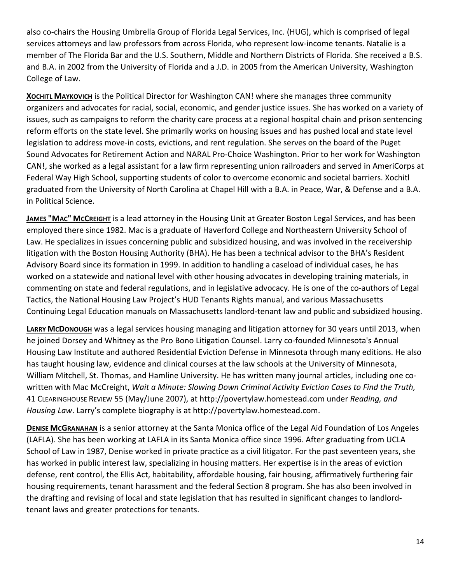also co-chairs the Housing Umbrella Group of Florida Legal Services, Inc. (HUG), which is comprised of legal services attorneys and law professors from across Florida, who represent low-income tenants. Natalie is a member of The Florida Bar and the U.S. Southern, Middle and Northern Districts of Florida. She received a B.S. and B.A. in 2002 from the University of Florida and a J.D. in 2005 from the American University, Washington College of Law.

**XOCHITL MAYKOVICH** is the Political Director for Washington CAN! where she manages three community organizers and advocates for racial, social, economic, and gender justice issues. She has worked on a variety of issues, such as campaigns to reform the charity care process at a regional hospital chain and prison sentencing reform efforts on the state level. She primarily works on housing issues and has pushed local and state level legislation to address move‐in costs, evictions, and rent regulation. She serves on the board of the Puget Sound Advocates for Retirement Action and NARAL Pro‐Choice Washington. Prior to her work for Washington CAN!, she worked as a legal assistant for a law firm representing union railroaders and served in AmeriCorps at Federal Way High School, supporting students of color to overcome economic and societal barriers. Xochitl graduated from the University of North Carolina at Chapel Hill with a B.A. in Peace, War, & Defense and a B.A. in Political Science.

**JAMES "MAC" MCCREIGHT** is a lead attorney in the Housing Unit at Greater Boston Legal Services, and has been employed there since 1982. Mac is a graduate of Haverford College and Northeastern University School of Law. He specializes in issues concerning public and subsidized housing, and was involved in the receivership litigation with the Boston Housing Authority (BHA). He has been a technical advisor to the BHA's Resident Advisory Board since its formation in 1999. In addition to handling a caseload of individual cases, he has worked on a statewide and national level with other housing advocates in developing training materials, in commenting on state and federal regulations, and in legislative advocacy. He is one of the co‐authors of Legal Tactics, the National Housing Law Project's HUD Tenants Rights manual, and various Massachusetts Continuing Legal Education manuals on Massachusetts landlord‐tenant law and public and subsidized housing.

**LARRY MCDONOUGH** was a legal services housing managing and litigation attorney for 30 years until 2013, when he joined Dorsey and Whitney as the Pro Bono Litigation Counsel. Larry co-founded Minnesota's Annual Housing Law Institute and authored Residential Eviction Defense in Minnesota through many editions. He also has taught housing law, evidence and clinical courses at the law schools at the University of Minnesota, William Mitchell, St. Thomas, and Hamline University. He has written many journal articles, including one co‐ written with Mac McCreight, *Wait a Minute: Slowing Down Criminal Activity Eviction Cases to Find the Truth,* 41 CLEARINGHOUSE REVIEW 55 (May/June 2007), at http://povertylaw.homestead.com under *Reading, and Housing Law*. Larry's complete biography is at http://povertylaw.homestead.com.

**DENISE MCGRANAHAN** is a senior attorney at the Santa Monica office of the Legal Aid Foundation of Los Angeles (LAFLA). She has been working at LAFLA in its Santa Monica office since 1996. After graduating from UCLA School of Law in 1987, Denise worked in private practice as a civil litigator. For the past seventeen years, she has worked in public interest law, specializing in housing matters. Her expertise is in the areas of eviction defense, rent control, the Ellis Act, habitability, affordable housing, fair housing, affirmatively furthering fair housing requirements, tenant harassment and the federal Section 8 program. She has also been involved in the drafting and revising of local and state legislation that has resulted in significant changes to landlord‐ tenant laws and greater protections for tenants.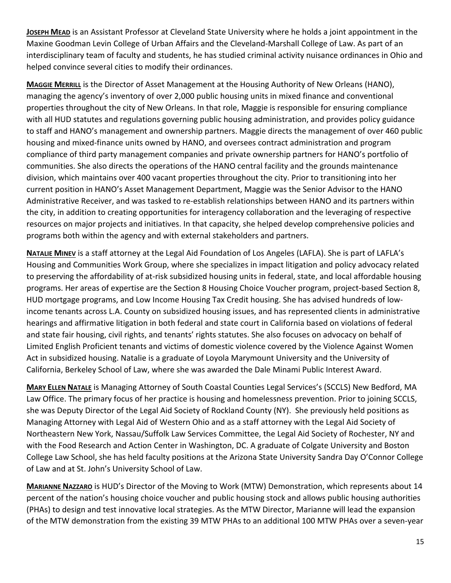**JOSEPH MEAD** is an Assistant Professor at Cleveland State University where he holds a joint appointment in the Maxine Goodman Levin College of Urban Affairs and the Cleveland‐Marshall College of Law. As part of an interdisciplinary team of faculty and students, he has studied criminal activity nuisance ordinances in Ohio and helped convince several cities to modify their ordinances.

**MAGGIE MERRILL** is the Director of Asset Management at the Housing Authority of New Orleans (HANO), managing the agency's inventory of over 2,000 public housing units in mixed finance and conventional properties throughout the city of New Orleans. In that role, Maggie is responsible for ensuring compliance with all HUD statutes and regulations governing public housing administration, and provides policy guidance to staff and HANO's management and ownership partners. Maggie directs the management of over 460 public housing and mixed‐finance units owned by HANO, and oversees contract administration and program compliance of third party management companies and private ownership partners for HANO's portfolio of communities. She also directs the operations of the HANO central facility and the grounds maintenance division, which maintains over 400 vacant properties throughout the city. Prior to transitioning into her current position in HANO's Asset Management Department, Maggie was the Senior Advisor to the HANO Administrative Receiver, and was tasked to re‐establish relationships between HANO and its partners within the city, in addition to creating opportunities for interagency collaboration and the leveraging of respective resources on major projects and initiatives. In that capacity, she helped develop comprehensive policies and programs both within the agency and with external stakeholders and partners.

**NATALIE MINEV** is a staff attorney at the Legal Aid Foundation of Los Angeles (LAFLA). She is part of LAFLA's Housing and Communities Work Group, where she specializes in impact litigation and policy advocacy related to preserving the affordability of at‐risk subsidized housing units in federal, state, and local affordable housing programs. Her areas of expertise are the Section 8 Housing Choice Voucher program, project-based Section 8, HUD mortgage programs, and Low Income Housing Tax Credit housing. She has advised hundreds of low‐ income tenants across L.A. County on subsidized housing issues, and has represented clients in administrative hearings and affirmative litigation in both federal and state court in California based on violations of federal and state fair housing, civil rights, and tenants' rights statutes. She also focuses on advocacy on behalf of Limited English Proficient tenants and victims of domestic violence covered by the Violence Against Women Act in subsidized housing. Natalie is a graduate of Loyola Marymount University and the University of California, Berkeley School of Law, where she was awarded the Dale Minami Public Interest Award.

**MARY ELLEN NATALE** is Managing Attorney of South Coastal Counties Legal Services's (SCCLS) New Bedford, MA Law Office. The primary focus of her practice is housing and homelessness prevention. Prior to joining SCCLS, she was Deputy Director of the Legal Aid Society of Rockland County (NY). She previously held positions as Managing Attorney with Legal Aid of Western Ohio and as a staff attorney with the Legal Aid Society of Northeastern New York, Nassau/Suffolk Law Services Committee, the Legal Aid Society of Rochester, NY and with the Food Research and Action Center in Washington, DC. A graduate of Colgate University and Boston College Law School, she has held faculty positions at the Arizona State University Sandra Day O'Connor College of Law and at St. John's University School of Law.

**MARIANNE NAZZARO** is HUD's Director of the Moving to Work (MTW) Demonstration, which represents about 14 percent of the nation's housing choice voucher and public housing stock and allows public housing authorities (PHAs) to design and test innovative local strategies. As the MTW Director, Marianne will lead the expansion of the MTW demonstration from the existing 39 MTW PHAs to an additional 100 MTW PHAs over a seven‐year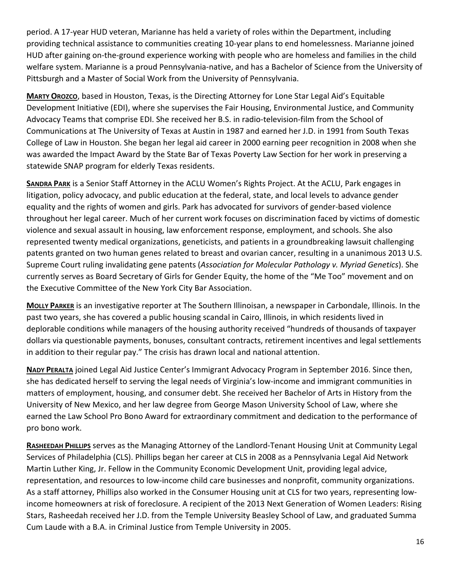period. A 17‐year HUD veteran, Marianne has held a variety of roles within the Department, including providing technical assistance to communities creating 10‐year plans to end homelessness. Marianne joined HUD after gaining on-the-ground experience working with people who are homeless and families in the child welfare system. Marianne is a proud Pennsylvania‐native, and has a Bachelor of Science from the University of Pittsburgh and a Master of Social Work from the University of Pennsylvania.

**MARTY OROZCO**, based in Houston, Texas, is the Directing Attorney for Lone Star Legal Aid's Equitable Development Initiative (EDI), where she supervises the Fair Housing, Environmental Justice, and Community Advocacy Teams that comprise EDI. She received her B.S. in radio‐television‐film from the School of Communications at The University of Texas at Austin in 1987 and earned her J.D. in 1991 from South Texas College of Law in Houston. She began her legal aid career in 2000 earning peer recognition in 2008 when she was awarded the Impact Award by the State Bar of Texas Poverty Law Section for her work in preserving a statewide SNAP program for elderly Texas residents.

**SANDRA PARK** is a Senior Staff Attorney in the ACLU Women's Rights Project. At the ACLU, Park engages in litigation, policy advocacy, and public education at the federal, state, and local levels to advance gender equality and the rights of women and girls. Park has advocated for survivors of gender‐based violence throughout her legal career. Much of her current work focuses on discrimination faced by victims of domestic violence and sexual assault in housing, law enforcement response, employment, and schools. She also represented twenty medical organizations, geneticists, and patients in a groundbreaking lawsuit challenging patents granted on two human genes related to breast and ovarian cancer, resulting in a unanimous 2013 U.S. Supreme Court ruling invalidating gene patents (*Association for Molecular Pathology v. Myriad Genetics*). She currently serves as Board Secretary of Girls for Gender Equity, the home of the "Me Too" movement and on the Executive Committee of the New York City Bar Association.

**MOLLY PARKER** is an investigative reporter at The Southern Illinoisan, a newspaper in Carbondale, Illinois. In the past two years, she has covered a public housing scandal in Cairo, Illinois, in which residents lived in deplorable conditions while managers of the housing authority received "hundreds of thousands of taxpayer dollars via questionable payments, bonuses, consultant contracts, retirement incentives and legal settlements in addition to their regular pay." The crisis has drawn local and national attention.

**NADY PERALTA** joined Legal Aid Justice Center's Immigrant Advocacy Program in September 2016. Since then, she has dedicated herself to serving the legal needs of Virginia's low‐income and immigrant communities in matters of employment, housing, and consumer debt. She received her Bachelor of Arts in History from the University of New Mexico, and her law degree from George Mason University School of Law, where she earned the Law School Pro Bono Award for extraordinary commitment and dedication to the performance of pro bono work.

RASHEEDAH PHILLIPS serves as the Managing Attorney of the Landlord-Tenant Housing Unit at Community Legal Services of Philadelphia (CLS). Phillips began her career at CLS in 2008 as a Pennsylvania Legal Aid Network Martin Luther King, Jr. Fellow in the Community Economic Development Unit, providing legal advice, representation, and resources to low‐income child care businesses and nonprofit, community organizations. As a staff attorney, Phillips also worked in the Consumer Housing unit at CLS for two years, representing low‐ income homeowners at risk of foreclosure. A recipient of the 2013 Next Generation of Women Leaders: Rising Stars, Rasheedah received her J.D. from the Temple University Beasley School of Law, and graduated Summa Cum Laude with a B.A. in Criminal Justice from Temple University in 2005.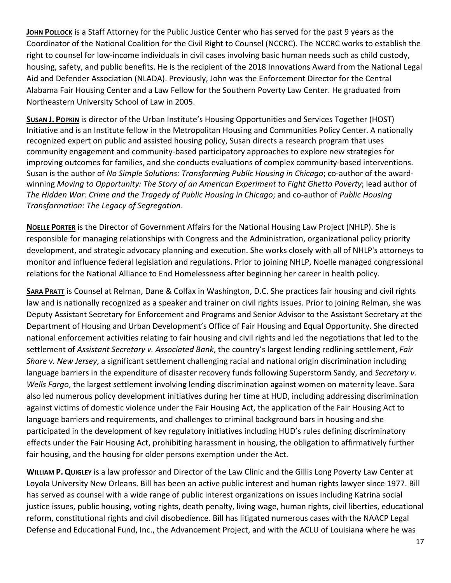**JOHN POLLOCK** is a Staff Attorney for the Public Justice Center who has served for the past 9 years as the Coordinator of the National Coalition for the Civil Right to Counsel (NCCRC). The NCCRC works to establish the right to counsel for low‐income individuals in civil cases involving basic human needs such as child custody, housing, safety, and public benefits. He is the recipient of the 2018 Innovations Award from the National Legal Aid and Defender Association (NLADA). Previously, John was the Enforcement Director for the Central Alabama Fair Housing Center and a Law Fellow for the Southern Poverty Law Center. He graduated from Northeastern University School of Law in 2005.

**SUSAN J. POPKIN** is director of the Urban Institute's Housing Opportunities and Services Together (HOST) Initiative and is an Institute fellow in the Metropolitan Housing and Communities Policy Center. A nationally recognized expert on public and assisted housing policy, Susan directs a research program that uses community engagement and community‐based participatory approaches to explore new strategies for improving outcomes for families, and she conducts evaluations of complex community‐based interventions. Susan is the author of *No Simple Solutions: Transforming Public Housing in Chicago*; co-author of the awardwinning *Moving to Opportunity: The Story of an American Experiment to Fight Ghetto Poverty*; lead author of *The Hidden War: Crime and the Tragedy of Public Housing in Chicago*; and co‐author of *Public Housing Transformation: The Legacy of Segregation*.

**NOELLE PORTER** is the Director of Government Affairs for the National Housing Law Project (NHLP). She is responsible for managing relationships with Congress and the Administration, organizational policy priority development, and strategic advocacy planning and execution. She works closely with all of NHLP's attorneys to monitor and influence federal legislation and regulations. Prior to joining NHLP, Noelle managed congressional relations for the National Alliance to End Homelessness after beginning her career in health policy.

**SARA PRATT** is Counsel at Relman, Dane & Colfax in Washington, D.C. She practices fair housing and civil rights law and is nationally recognized as a speaker and trainer on civil rights issues. Prior to joining Relman, she was Deputy Assistant Secretary for Enforcement and Programs and Senior Advisor to the Assistant Secretary at the Department of Housing and Urban Development's Office of Fair Housing and Equal Opportunity. She directed national enforcement activities relating to fair housing and civil rights and led the negotiations that led to the settlement of *Assistant Secretary v. Associated Bank*, the country's largest lending redlining settlement, *Fair Share v. New Jersey*, a significant settlement challenging racial and national origin discrimination including language barriers in the expenditure of disaster recovery funds following Superstorm Sandy, and *Secretary v. Wells Fargo*, the largest settlement involving lending discrimination against women on maternity leave. Sara also led numerous policy development initiatives during her time at HUD, including addressing discrimination against victims of domestic violence under the Fair Housing Act, the application of the Fair Housing Act to language barriers and requirements, and challenges to criminal background bars in housing and she participated in the development of key regulatory initiatives including HUD's rules defining discriminatory effects under the Fair Housing Act, prohibiting harassment in housing, the obligation to affirmatively further fair housing, and the housing for older persons exemption under the Act.

**WILLIAM P. QUIGLEY** is a law professor and Director of the Law Clinic and the Gillis Long Poverty Law Center at Loyola University New Orleans. Bill has been an active public interest and human rights lawyer since 1977. Bill has served as counsel with a wide range of public interest organizations on issues including Katrina social justice issues, public housing, voting rights, death penalty, living wage, human rights, civil liberties, educational reform, constitutional rights and civil disobedience. Bill has litigated numerous cases with the NAACP Legal Defense and Educational Fund, Inc., the Advancement Project, and with the ACLU of Louisiana where he was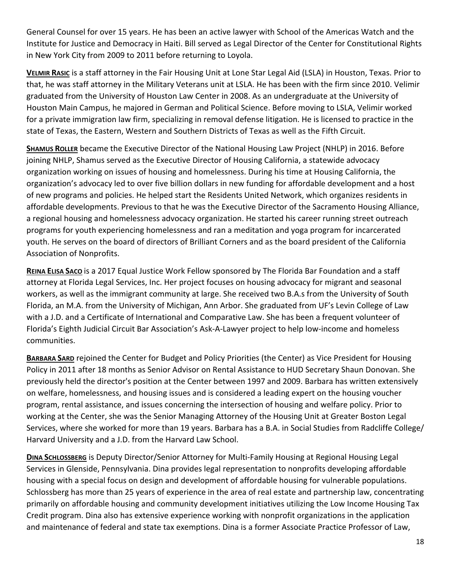General Counsel for over 15 years. He has been an active lawyer with School of the Americas Watch and the Institute for Justice and Democracy in Haiti. Bill served as Legal Director of the Center for Constitutional Rights in New York City from 2009 to 2011 before returning to Loyola.

**VELMIR RASIC** is a staff attorney in the Fair Housing Unit at Lone Star Legal Aid (LSLA) in Houston, Texas. Prior to that, he was staff attorney in the Military Veterans unit at LSLA. He has been with the firm since 2010. Velimir graduated from the University of Houston Law Center in 2008. As an undergraduate at the University of Houston Main Campus, he majored in German and Political Science. Before moving to LSLA, Velimir worked for a private immigration law firm, specializing in removal defense litigation. He is licensed to practice in the state of Texas, the Eastern, Western and Southern Districts of Texas as well as the Fifth Circuit.

**SHAMUS ROLLER** became the Executive Director of the National Housing Law Project (NHLP) in 2016. Before joining NHLP, Shamus served as the Executive Director of Housing California, a statewide advocacy organization working on issues of housing and homelessness. During his time at Housing California, the organization's advocacy led to over five billion dollars in new funding for affordable development and a host of new programs and policies. He helped start the Residents United Network, which organizes residents in affordable developments. Previous to that he was the Executive Director of the Sacramento Housing Alliance, a regional housing and homelessness advocacy organization. He started his career running street outreach programs for youth experiencing homelessness and ran a meditation and yoga program for incarcerated youth. He serves on the board of directors of Brilliant Corners and as the board president of the California Association of Nonprofits.

**REINA ELISA SACO** is a 2017 Equal Justice Work Fellow sponsored by The Florida Bar Foundation and a staff attorney at Florida Legal Services, Inc. Her project focuses on housing advocacy for migrant and seasonal workers, as well as the immigrant community at large. She received two B.A.s from the University of South Florida, an M.A. from the University of Michigan, Ann Arbor. She graduated from UF's Levin College of Law with a J.D. and a Certificate of International and Comparative Law. She has been a frequent volunteer of Florida's Eighth Judicial Circuit Bar Association's Ask‐A‐Lawyer project to help low‐income and homeless communities.

**BARBARA SARD** rejoined the Center for Budget and Policy Priorities (the Center) as Vice President for Housing Policy in 2011 after 18 months as Senior Advisor on Rental Assistance to HUD Secretary Shaun Donovan. She previously held the director's position at the Center between 1997 and 2009. Barbara has written extensively on welfare, homelessness, and housing issues and is considered a leading expert on the housing voucher program, rental assistance, and issues concerning the intersection of housing and welfare policy. Prior to working at the Center, she was the Senior Managing Attorney of the Housing Unit at Greater Boston Legal Services, where she worked for more than 19 years. Barbara has a B.A. in Social Studies from Radcliffe College/ Harvard University and a J.D. from the Harvard Law School.

**DINA SCHLOSSBERG** is Deputy Director/Senior Attorney for Multi‐Family Housing at Regional Housing Legal Services in Glenside, Pennsylvania. Dina provides legal representation to nonprofits developing affordable housing with a special focus on design and development of affordable housing for vulnerable populations. Schlossberg has more than 25 years of experience in the area of real estate and partnership law, concentrating primarily on affordable housing and community development initiatives utilizing the Low Income Housing Tax Credit program. Dina also has extensive experience working with nonprofit organizations in the application and maintenance of federal and state tax exemptions. Dina is a former Associate Practice Professor of Law,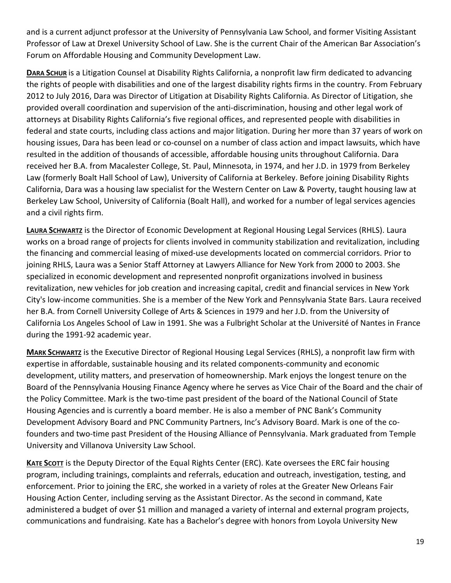and is a current adjunct professor at the University of Pennsylvania Law School, and former Visiting Assistant Professor of Law at Drexel University School of Law. She is the current Chair of the American Bar Association's Forum on Affordable Housing and Community Development Law.

**DARA SCHUR** is a Litigation Counsel at Disability Rights California, a nonprofit law firm dedicated to advancing the rights of people with disabilities and one of the largest disability rights firms in the country. From February 2012 to July 2016, Dara was Director of Litigation at Disability Rights California. As Director of Litigation, she provided overall coordination and supervision of the anti-discrimination, housing and other legal work of attorneys at Disability Rights California's five regional offices, and represented people with disabilities in federal and state courts, including class actions and major litigation. During her more than 37 years of work on housing issues, Dara has been lead or co-counsel on a number of class action and impact lawsuits, which have resulted in the addition of thousands of accessible, affordable housing units throughout California. Dara received her B.A. from Macalester College, St. Paul, Minnesota, in 1974, and her J.D. in 1979 from Berkeley Law (formerly Boalt Hall School of Law), University of California at Berkeley. Before joining Disability Rights California, Dara was a housing law specialist for the Western Center on Law & Poverty, taught housing law at Berkeley Law School, University of California (Boalt Hall), and worked for a number of legal services agencies and a civil rights firm.

**LAURA SCHWARTZ** is the Director of Economic Development at Regional Housing Legal Services (RHLS). Laura works on a broad range of projects for clients involved in community stabilization and revitalization, including the financing and commercial leasing of mixed‐use developments located on commercial corridors. Prior to joining RHLS, Laura was a Senior Staff Attorney at Lawyers Alliance for New York from 2000 to 2003. She specialized in economic development and represented nonprofit organizations involved in business revitalization, new vehicles for job creation and increasing capital, credit and financial services in New York City's low‐income communities. She is a member of the New York and Pennsylvania State Bars. Laura received her B.A. from Cornell University College of Arts & Sciences in 1979 and her J.D. from the University of California Los Angeles School of Law in 1991. She was a Fulbright Scholar at the Université of Nantes in France during the 1991‐92 academic year.

**MARK SCHWARTZ** is the Executive Director of Regional Housing Legal Services (RHLS), a nonprofit law firm with expertise in affordable, sustainable housing and its related components‐community and economic development, utility matters, and preservation of homeownership. Mark enjoys the longest tenure on the Board of the Pennsylvania Housing Finance Agency where he serves as Vice Chair of the Board and the chair of the Policy Committee. Mark is the two-time past president of the board of the National Council of State Housing Agencies and is currently a board member. He is also a member of PNC Bank's Community Development Advisory Board and PNC Community Partners, Inc's Advisory Board. Mark is one of the co‐ founders and two‐time past President of the Housing Alliance of Pennsylvania. Mark graduated from Temple University and Villanova University Law School.

**KATE SCOTT** is the Deputy Director of the Equal Rights Center (ERC). Kate oversees the ERC fair housing program, including trainings, complaints and referrals, education and outreach, investigation, testing, and enforcement. Prior to joining the ERC, she worked in a variety of roles at the Greater New Orleans Fair Housing Action Center, including serving as the Assistant Director. As the second in command, Kate administered a budget of over \$1 million and managed a variety of internal and external program projects, communications and fundraising. Kate has a Bachelor's degree with honors from Loyola University New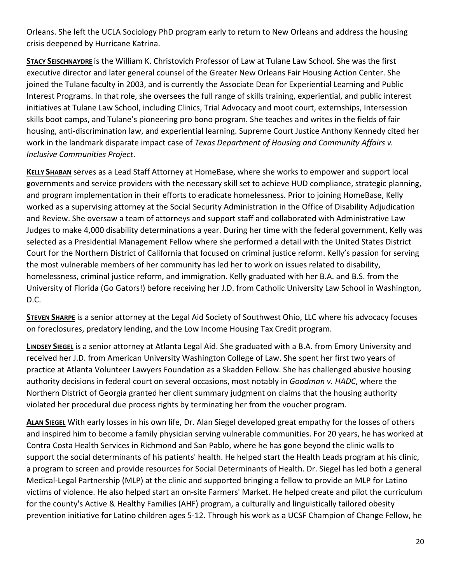Orleans. She left the UCLA Sociology PhD program early to return to New Orleans and address the housing crisis deepened by Hurricane Katrina.

**STACY SEISCHNAYDRE** is the William K. Christovich Professor of Law at Tulane Law School. She was the first executive director and later general counsel of the Greater New Orleans Fair Housing Action Center. She joined the Tulane faculty in 2003, and is currently the Associate Dean for Experiential Learning and Public Interest Programs. In that role, she oversees the full range of skills training, experiential, and public interest initiatives at Tulane Law School, including Clinics, Trial Advocacy and moot court, externships, Intersession skills boot camps, and Tulane's pioneering pro bono program. She teaches and writes in the fields of fair housing, anti‐discrimination law, and experiential learning. Supreme Court Justice Anthony Kennedy cited her work in the landmark disparate impact case of *Texas Department of Housing and Community Affairs v. Inclusive Communities Project*.

**KELLY SHABAN** serves as a Lead Staff Attorney at HomeBase, where she works to empower and support local governments and service providers with the necessary skill set to achieve HUD compliance, strategic planning, and program implementation in their efforts to eradicate homelessness. Prior to joining HomeBase, Kelly worked as a supervising attorney at the Social Security Administration in the Office of Disability Adjudication and Review. She oversaw a team of attorneys and support staff and collaborated with Administrative Law Judges to make 4,000 disability determinations a year. During her time with the federal government, Kelly was selected as a Presidential Management Fellow where she performed a detail with the United States District Court for the Northern District of California that focused on criminal justice reform. Kelly's passion for serving the most vulnerable members of her community has led her to work on issues related to disability, homelessness, criminal justice reform, and immigration. Kelly graduated with her B.A. and B.S. from the University of Florida (Go Gators!) before receiving her J.D. from Catholic University Law School in Washington, D.C.

**STEVEN SHARPE** is a senior attorney at the Legal Aid Society of Southwest Ohio, LLC where his advocacy focuses on foreclosures, predatory lending, and the Low Income Housing Tax Credit program.

**LINDSEY SIEGEL** is a senior attorney at Atlanta Legal Aid. She graduated with a B.A. from Emory University and received her J.D. from American University Washington College of Law. She spent her first two years of practice at Atlanta Volunteer Lawyers Foundation as a Skadden Fellow. She has challenged abusive housing authority decisions in federal court on several occasions, most notably in *Goodman v. HADC*, where the Northern District of Georgia granted her client summary judgment on claims that the housing authority violated her procedural due process rights by terminating her from the voucher program.

**ALAN SIEGEL** With early losses in his own life, Dr. Alan Siegel developed great empathy for the losses of others and inspired him to become a family physician serving vulnerable communities. For 20 years, he has worked at Contra Costa Health Services in Richmond and San Pablo, where he has gone beyond the clinic walls to support the social determinants of his patients' health. He helped start the Health Leads program at his clinic, a program to screen and provide resources for Social Determinants of Health. Dr. Siegel has led both a general Medical‐Legal Partnership (MLP) at the clinic and supported bringing a fellow to provide an MLP for Latino victims of violence. He also helped start an on‐site Farmers' Market. He helped create and pilot the curriculum for the county's Active & Healthy Families (AHF) program, a culturally and linguistically tailored obesity prevention initiative for Latino children ages 5‐12. Through his work as a UCSF Champion of Change Fellow, he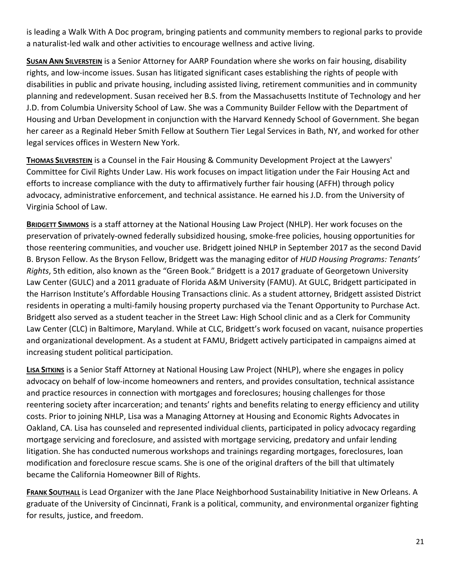is leading a Walk With A Doc program, bringing patients and community members to regional parks to provide a naturalist‐led walk and other activities to encourage wellness and active living.

**SUSAN ANN SILVERSTEIN** is a Senior Attorney for AARP Foundation where she works on fair housing, disability rights, and low‐income issues. Susan has litigated significant cases establishing the rights of people with disabilities in public and private housing, including assisted living, retirement communities and in community planning and redevelopment. Susan received her B.S. from the Massachusetts Institute of Technology and her J.D. from Columbia University School of Law. She was a Community Builder Fellow with the Department of Housing and Urban Development in conjunction with the Harvard Kennedy School of Government. She began her career as a Reginald Heber Smith Fellow at Southern Tier Legal Services in Bath, NY, and worked for other legal services offices in Western New York.

**THOMAS SILVERSTEIN** is a Counsel in the Fair Housing & Community Development Project at the Lawyers' Committee for Civil Rights Under Law. His work focuses on impact litigation under the Fair Housing Act and efforts to increase compliance with the duty to affirmatively further fair housing (AFFH) through policy advocacy, administrative enforcement, and technical assistance. He earned his J.D. from the University of Virginia School of Law.

**BRIDGETT SIMMONS** is a staff attorney at the National Housing Law Project (NHLP). Her work focuses on the preservation of privately‐owned federally subsidized housing, smoke‐free policies, housing opportunities for those reentering communities, and voucher use. Bridgett joined NHLP in September 2017 as the second David B. Bryson Fellow. As the Bryson Fellow, Bridgett was the managing editor of *HUD Housing Programs: Tenants' Rights*, 5th edition, also known as the "Green Book." Bridgett is a 2017 graduate of Georgetown University Law Center (GULC) and a 2011 graduate of Florida A&M University (FAMU). At GULC, Bridgett participated in the Harrison Institute's Affordable Housing Transactions clinic. As a student attorney, Bridgett assisted District residents in operating a multi‐family housing property purchased via the Tenant Opportunity to Purchase Act. Bridgett also served as a student teacher in the Street Law: High School clinic and as a Clerk for Community Law Center (CLC) in Baltimore, Maryland. While at CLC, Bridgett's work focused on vacant, nuisance properties and organizational development. As a student at FAMU, Bridgett actively participated in campaigns aimed at increasing student political participation.

**LISA SITKINS** is a Senior Staff Attorney at National Housing Law Project (NHLP), where she engages in policy advocacy on behalf of low‐income homeowners and renters, and provides consultation, technical assistance and practice resources in connection with mortgages and foreclosures; housing challenges for those reentering society after incarceration; and tenants' rights and benefits relating to energy efficiency and utility costs. Prior to joining NHLP, Lisa was a Managing Attorney at Housing and Economic Rights Advocates in Oakland, CA. Lisa has counseled and represented individual clients, participated in policy advocacy regarding mortgage servicing and foreclosure, and assisted with mortgage servicing, predatory and unfair lending litigation. She has conducted numerous workshops and trainings regarding mortgages, foreclosures, loan modification and foreclosure rescue scams. She is one of the original drafters of the bill that ultimately became the California Homeowner Bill of Rights.

**FRANK SOUTHALL** is Lead Organizer with the Jane Place Neighborhood Sustainability Initiative in New Orleans. A graduate of the University of Cincinnati, Frank is a political, community, and environmental organizer fighting for results, justice, and freedom.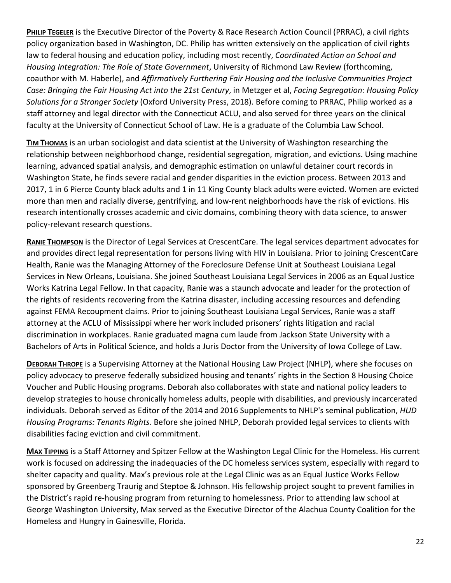**PHILIP TEGELER** is the Executive Director of the Poverty & Race Research Action Council (PRRAC), a civil rights policy organization based in Washington, DC. Philip has written extensively on the application of civil rights law to federal housing and education policy, including most recently, *Coordinated Action on School and Housing Integration: The Role of State Government*, University of Richmond Law Review (forthcoming, coauthor with M. Haberle), and *Affirmatively Furthering Fair Housing and the Inclusive Communities Project Case: Bringing the Fair Housing Act into the 21st Century*, in Metzger et al, *Facing Segregation: Housing Policy Solutions for a Stronger Society* (Oxford University Press, 2018). Before coming to PRRAC, Philip worked as a staff attorney and legal director with the Connecticut ACLU, and also served for three years on the clinical faculty at the University of Connecticut School of Law. He is a graduate of the Columbia Law School.

**TIM THOMAS** is an urban sociologist and data scientist at the University of Washington researching the relationship between neighborhood change, residential segregation, migration, and evictions. Using machine learning, advanced spatial analysis, and demographic estimation on unlawful detainer court records in Washington State, he finds severe racial and gender disparities in the eviction process. Between 2013 and 2017, 1 in 6 Pierce County black adults and 1 in 11 King County black adults were evicted. Women are evicted more than men and racially diverse, gentrifying, and low‐rent neighborhoods have the risk of evictions. His research intentionally crosses academic and civic domains, combining theory with data science, to answer policy‐relevant research questions.

**RANIE THOMPSON** is the Director of Legal Services at CrescentCare. The legal services department advocates for and provides direct legal representation for persons living with HIV in Louisiana. Prior to joining CrescentCare Health, Ranie was the Managing Attorney of the Foreclosure Defense Unit at Southeast Louisiana Legal Services in New Orleans, Louisiana. She joined Southeast Louisiana Legal Services in 2006 as an Equal Justice Works Katrina Legal Fellow. In that capacity, Ranie was a staunch advocate and leader for the protection of the rights of residents recovering from the Katrina disaster, including accessing resources and defending against FEMA Recoupment claims. Prior to joining Southeast Louisiana Legal Services, Ranie was a staff attorney at the ACLU of Mississippi where her work included prisoners' rights litigation and racial discrimination in workplaces. Ranie graduated magna cum laude from Jackson State University with a Bachelors of Arts in Political Science, and holds a Juris Doctor from the University of Iowa College of Law.

**DEBORAH THROPE** is a Supervising Attorney at the National Housing Law Project (NHLP), where she focuses on policy advocacy to preserve federally subsidized housing and tenants' rights in the Section 8 Housing Choice Voucher and Public Housing programs. Deborah also collaborates with state and national policy leaders to develop strategies to house chronically homeless adults, people with disabilities, and previously incarcerated individuals. Deborah served as Editor of the 2014 and 2016 Supplements to NHLP's seminal publication, *HUD Housing Programs: Tenants Rights*. Before she joined NHLP, Deborah provided legal services to clients with disabilities facing eviction and civil commitment.

**MAX TIPPING** is a Staff Attorney and Spitzer Fellow at the Washington Legal Clinic for the Homeless. His current work is focused on addressing the inadequacies of the DC homeless services system, especially with regard to shelter capacity and quality. Max's previous role at the Legal Clinic was as an Equal Justice Works Fellow sponsored by Greenberg Traurig and Steptoe & Johnson. His fellowship project sought to prevent families in the District's rapid re‐housing program from returning to homelessness. Prior to attending law school at George Washington University, Max served as the Executive Director of the Alachua County Coalition for the Homeless and Hungry in Gainesville, Florida.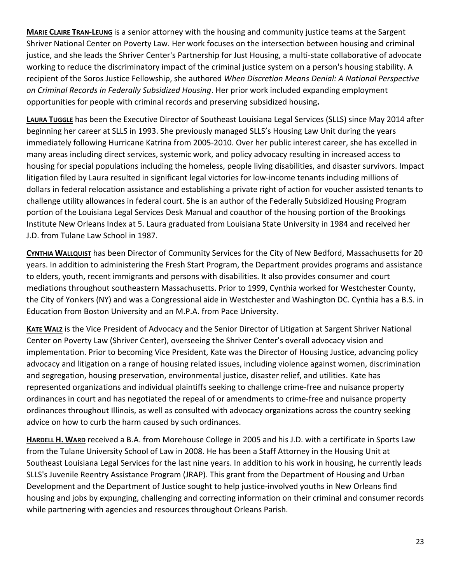**MARIE CLAIRE TRAN‐LEUNG** is a senior attorney with the housing and community justice teams at the Sargent Shriver National Center on Poverty Law. Her work focuses on the intersection between housing and criminal justice, and she leads the Shriver Center's Partnership for Just Housing, a multi‐state collaborative of advocate working to reduce the discriminatory impact of the criminal justice system on a person's housing stability. A recipient of the Soros Justice Fellowship, she authored *When Discretion Means Denial: A National Perspective on Criminal Records in Federally Subsidized Housing*. Her prior work included expanding employment opportunities for people with criminal records and preserving subsidized housing**.** 

**LAURA TUGGLE** has been the Executive Director of Southeast Louisiana Legal Services (SLLS) since May 2014 after beginning her career at SLLS in 1993. She previously managed SLLS's Housing Law Unit during the years immediately following Hurricane Katrina from 2005‐2010. Over her public interest career, she has excelled in many areas including direct services, systemic work, and policy advocacy resulting in increased access to housing for special populations including the homeless, people living disabilities, and disaster survivors. Impact litigation filed by Laura resulted in significant legal victories for low‐income tenants including millions of dollars in federal relocation assistance and establishing a private right of action for voucher assisted tenants to challenge utility allowances in federal court. She is an author of the Federally Subsidized Housing Program portion of the Louisiana Legal Services Desk Manual and coauthor of the housing portion of the Brookings Institute New Orleans Index at 5. Laura graduated from Louisiana State University in 1984 and received her J.D. from Tulane Law School in 1987.

**CYNTHIA WALLQUIST** has been Director of Community Services for the City of New Bedford, Massachusetts for 20 years. In addition to administering the Fresh Start Program, the Department provides programs and assistance to elders, youth, recent immigrants and persons with disabilities. It also provides consumer and court mediations throughout southeastern Massachusetts. Prior to 1999, Cynthia worked for Westchester County, the City of Yonkers (NY) and was a Congressional aide in Westchester and Washington DC. Cynthia has a B.S. in Education from Boston University and an M.P.A. from Pace University.

**KATE WALZ** is the Vice President of Advocacy and the Senior Director of Litigation at Sargent Shriver National Center on Poverty Law (Shriver Center), overseeing the Shriver Center's overall advocacy vision and implementation. Prior to becoming Vice President, Kate was the Director of Housing Justice, advancing policy advocacy and litigation on a range of housing related issues, including violence against women, discrimination and segregation, housing preservation, environmental justice, disaster relief, and utilities. Kate has represented organizations and individual plaintiffs seeking to challenge crime‐free and nuisance property ordinances in court and has negotiated the repeal of or amendments to crime‐free and nuisance property ordinances throughout Illinois, as well as consulted with advocacy organizations across the country seeking advice on how to curb the harm caused by such ordinances.

**HARDELL H. WARD** received a B.A. from Morehouse College in 2005 and his J.D. with a certificate in Sports Law from the Tulane University School of Law in 2008. He has been a Staff Attorney in the Housing Unit at Southeast Louisiana Legal Services for the last nine years. In addition to his work in housing, he currently leads SLLS's Juvenile Reentry Assistance Program (JRAP). This grant from the Department of Housing and Urban Development and the Department of Justice sought to help justice-involved youths in New Orleans find housing and jobs by expunging, challenging and correcting information on their criminal and consumer records while partnering with agencies and resources throughout Orleans Parish.